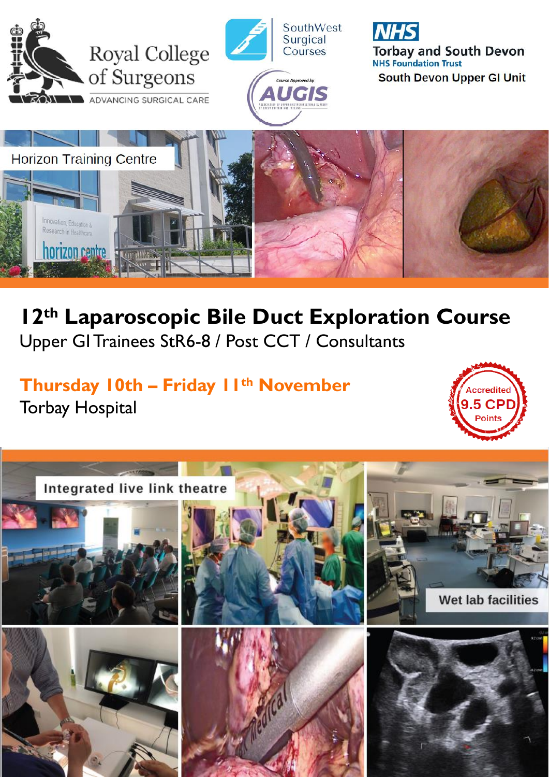

## **12th Laparoscopic Bile Duct Exploration Course** Upper GI Trainees StR6-8 / Post CCT / Consultants

## **Thursday 10th – Friday 11 th November** Torbay Hospital

Research in Health-

**horizon centre de communistration** 



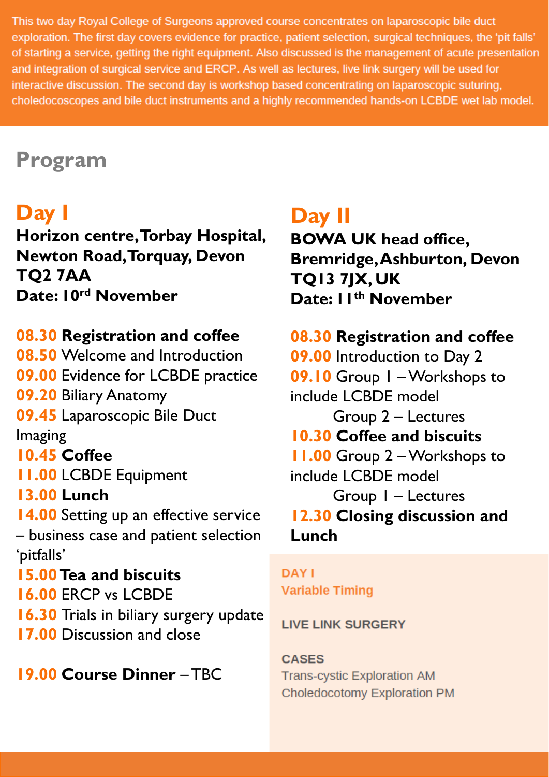This two day Royal College of Surgeons approved course concentrates on laparoscopic bile duct exploration. The first day covers evidence for practice, patient selection, surgical techniques, the 'pit falls' of starting a service, getting the right equipment. Also discussed is the management of acute presentation and integration of surgical service and ERCP. As well as lectures, live link surgery will be used for interactive discussion. The second day is workshop based concentrating on laparoscopic suturing, choledocoscopes and bile duct instruments and a highly recommended hands-on LCBDE wet lab model.

## **Program**

## **Day I**

**Horizon centre, Torbay Hospital, Newton Road, Torquay, Devon TQ2 7AA Date: 10 rd November**

### **08.30 Registration and coffee**

**08.50** Welcome and Introduction **09.00** Evidence for LCBDE practice **09.20** Biliary Anatomy **09.45** Laparoscopic Bile Duct Imaging **10.45 Coffee 11.00** LCBDE Equipment **13.00 Lunch 14.00** Setting up an effective service – business case and patient selection 'pitfalls' **15.00Tea and biscuits 16.00** ERCP vs LCBDE **16.30** Trials in biliary surgery update **17.00** Discussion and close

**19.00 Course Dinner** – TBC

## **Day II**

**BOWA UK head office, Bremridge, Ashburton, Devon TQ13 7JX, UK Date: 11 th November** 

### **08.30 Registration and coffee**

**09.00** Introduction to Day 2 **09.10** Group 1 –Workshops to include LCBDE model Group 2 – Lectures **10.30 Coffee and biscuits 11.00** Group 2 –Workshops to include LCBDE model Group 1 – Lectures **12.30 Closing discussion and Lunch**

### **DAY I Variable Timing**

#### **LIVE LINK SURGERY**

**CASES Trans-cystic Exploration AM** Choledocotomy Exploration PM